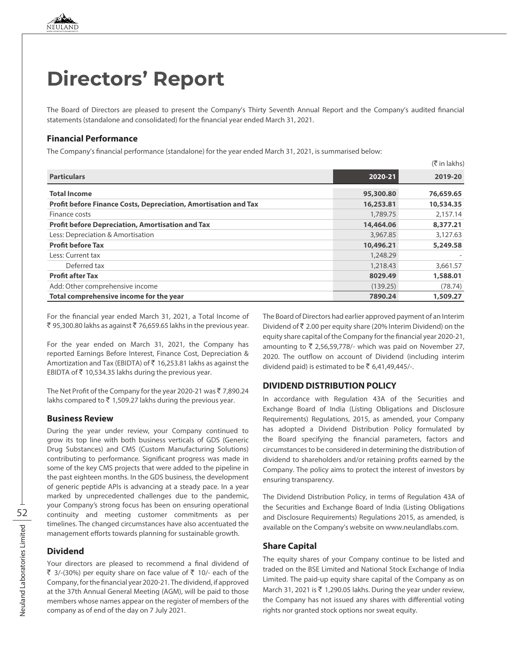# **Directors' Report**

The Board of Directors are pleased to present the Company's Thirty Seventh Annual Report and the Company's audited financial statements (standalone and consolidated) for the financial year ended March 31, 2021.

#### **Financial Performance**

The Company's financial performance (standalone) for the year ended March 31, 2021, is summarised below:

|                                                                        |           | $($ ₹ in lakhs) |
|------------------------------------------------------------------------|-----------|-----------------|
| <b>Particulars</b>                                                     | 2020-21   | 2019-20         |
| <b>Total Income</b>                                                    | 95,300.80 | 76,659.65       |
| <b>Profit before Finance Costs, Depreciation, Amortisation and Tax</b> | 16,253.81 | 10,534.35       |
| Finance costs                                                          | 1,789.75  | 2.157.14        |
| <b>Profit before Depreciation, Amortisation and Tax</b>                | 14,464.06 | 8,377.21        |
| Less: Depreciation & Amortisation                                      | 3,967.85  | 3,127.63        |
| <b>Profit before Tax</b>                                               | 10,496.21 | 5,249.58        |
| Less: Current tax                                                      | 1,248.29  |                 |
| Deferred tax                                                           | 1,218.43  | 3,661.57        |
| <b>Profit after Tax</b>                                                | 8029.49   | 1,588.01        |
| Add: Other comprehensive income                                        | (139.25)  | (78.74)         |
| Total comprehensive income for the year                                | 7890.24   | 1,509.27        |

For the financial year ended March 31, 2021, a Total Income of ₹ 95,300.80 lakhs as against ₹ 76,659.65 lakhs in the previous year.

For the year ended on March 31, 2021, the Company has reported Earnings Before Interest, Finance Cost, Depreciation & Amortization and Tax (EBIDTA) of ₹ 16,253.81 lakhs as against the EBIDTA of  $\bar{z}$  10,534.35 lakhs during the previous year.

The Net Profit of the Company for the year 2020-21 was  $\bar{z}$  7,890.24 lakhs compared to  $\bar{z}$  1,509.27 lakhs during the previous year.

#### **Business Review**

During the year under review, your Company continued to grow its top line with both business verticals of GDS (Generic Drug Substances) and CMS (Custom Manufacturing Solutions) contributing to performance. Significant progress was made in some of the key CMS projects that were added to the pipeline in the past eighteen months. In the GDS business, the development of generic peptide APIs is advancing at a steady pace. In a year marked by unprecedented challenges due to the pandemic, your Company's strong focus has been on ensuring operational continuity and meeting customer commitments as per timelines. The changed circumstances have also accentuated the management efforts towards planning for sustainable growth.

#### **Dividend**

Your directors are pleased to recommend a final dividend of ₹ 3/-(30%) per equity share on face value of  $\bar{z}$  10/- each of the Company, for the financial year 2020-21. The dividend, if approved at the 37th Annual General Meeting (AGM), will be paid to those members whose names appear on the register of members of the company as of end of the day on 7 July 2021.

The Board of Directors had earlier approved payment of an Interim Dividend of ` 2.00 per equity share (20% Interim Dividend) on the equity share capital of the Company for the financial year 2020-21, amounting to  $\bar{\tau}$  2,56,59,778/- which was paid on November 27, 2020. The outflow on account of Dividend (including interim dividend paid) is estimated to be  $\overline{5}$  6,41,49,445/-.

#### **DIVIDEND DISTRIBUTION POLICY**

In accordance with Regulation 43A of the Securities and Exchange Board of India (Listing Obligations and Disclosure Requirements) Regulations, 2015, as amended, your Company has adopted a Dividend Distribution Policy formulated by the Board specifying the financial parameters, factors and circumstances to be considered in determining the distribution of dividend to shareholders and/or retaining profits earned by the Company. The policy aims to protect the interest of investors by ensuring transparency.

The Dividend Distribution Policy, in terms of Regulation 43A of the Securities and Exchange Board of India (Listing Obligations and Disclosure Requirements) Regulations 2015, as amended, is available on the Company's website on www.neulandlabs.com.

#### **Share Capital**

The equity shares of your Company continue to be listed and traded on the BSE Limited and National Stock Exchange of India Limited. The paid-up equity share capital of the Company as on March 31, 2021 is  $\overline{\zeta}$  1,290.05 lakhs. During the year under review, the Company has not issued any shares with differential voting rights nor granted stock options nor sweat equity.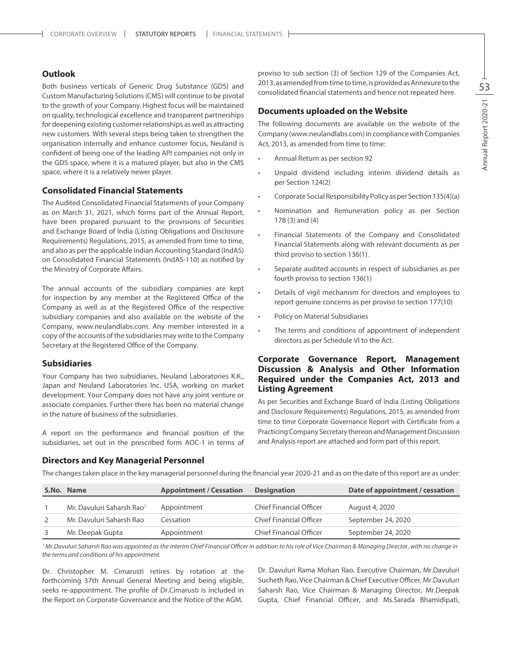#### **Outlook**

Both business verticals of Generic Drug Substance (GDS) and Custom Manufacturing Solutions (CMS) will continue to be pivotal to the growth of your Company. Highest focus will be maintained on quality, technological excellence and transparent partnerships for deepening existing customer relationships as well as attracting new customers. With several steps being taken to strengthen the organisation internally and enhance customer focus, Neuland is confident of being one of the leading API companies not only in the GDS space, where it is a matured player, but also in the CMS space, where it is a relatively newer player.

#### **Consolidated Financial Statements**

The Audited Consolidated Financial Statements of your Company as on March 31, 2021, which forms part of the Annual Report, have been prepared pursuant to the provisions of Securities and Exchange Board of India (Listing Obligations and Disclosure Requirements) Regulations, 2015, as amended from time to time, and also as per the applicable Indian Accounting Standard (IndAS) on Consolidated Financial Statements (IndAS-110) as notified by the Ministry of Corporate Affairs.

The annual accounts of the subsidiary companies are kept for inspection by any member at the Registered Office of the Company as well as at the Registered Office of the respective subsidiary companies and also available on the website of the Company, www.neulandlabs.com. Any member interested in a copy of the accounts of the subsidiaries may write to the Company Secretary at the Registered Office of the Company.

#### **Subsidiaries**

Your Company has two subsidiaries, Neuland Laboratories K.K., Japan and Neuland Laboratories Inc. USA, working on market development. Your Company does not have any joint venture or associate companies. Further there has been no material change in the nature of business of the subsidiaries.

A report on the performance and financial position of the subsidiaries, set out in the prescribed form AOC-1 in terms of

#### **Directors and Key Managerial Personnel**

proviso to sub section (3) of Section 129 of the Companies Act, 2013, as amended from time to time, is provided as Annexure to the consolidated financial statements and hence not repeated here.

#### **Documents uploaded on the Website**

The following documents are available on the website of the Company (www.neulandlabs.com) in compliance with Companies Act, 2013, as amended from time to time:

- Annual Return as per section 92
- Unpaid dividend including interim dividend details as per Section 124(2)
- Corporate Social Responsibility Policy as per Section 135(4)(a)
- • Nomination and Remuneration policy as per Section 178 (3) and (4)
- Financial Statements of the Company and Consolidated Financial Statements along with relevant documents as per third proviso to section 136(1).
- Separate audited accounts in respect of subsidiaries as per fourth proviso to section 136(1)
- Details of vigil mechanism for directors and employees to report genuine concerns as per proviso to section 177(10)
- Policy on Material Subsidiaries
- The terms and conditions of appointment of independent directors as per Schedule VI to the Act.

#### **Corporate Governance Report, Management Discussion & Analysis and Other Information Required under the Companies Act, 2013 and Listing Agreement**

As per Securities and Exchange Board of India (Listing Obligations and Disclosure Requirements) Regulations, 2015, as amended from time to time Corporate Governance Report with Certificate from a Practicing Company Secretary thereon and Management Discussion and Analysis report are attached and form part of this report.

The changes taken place in the key managerial personnel during the financial year 2020-21 and as on the date of this report are as under:

| S.No. Name                            | <b>Appointment / Cessation</b> | <b>Designation</b>             | Date of appointment / cessation |
|---------------------------------------|--------------------------------|--------------------------------|---------------------------------|
| Mr. Davuluri Saharsh Rao <sup>1</sup> | Appointment                    | <b>Chief Financial Officer</b> | August 4, 2020                  |
| Mr. Davuluri Saharsh Rao              | Cessation                      | <b>Chief Financial Officer</b> | September 24, 2020              |
| Mr. Deepak Gupta                      | Appointment                    | Chief Financial Officer        | September 24, 2020              |

<sup>1</sup> Mr.Davuluri Saharsh Rao was appointed as the interim Chief Financial Officer in addition to his role of Vice Chairman & Managing Director, with no change in *the terms and conditions of his appointment.*

Dr. Christopher M. Cimarusti retires by rotation at the forthcoming 37th Annual General Meeting and being eligible, seeks re-appointment. The profile of Dr.Cimarusti is included in the Report on Corporate Governance and the Notice of the AGM.

Dr. Davuluri Rama Mohan Rao, Executive Chairman, Mr.Davuluri Sucheth Rao, Vice Chairman & Chief Executive Officer, Mr.Davuluri Saharsh Rao, Vice Chairman & Managing Director, Mr.Deepak Gupta, Chief Financial Officer, and Ms.Sarada Bhamidipati,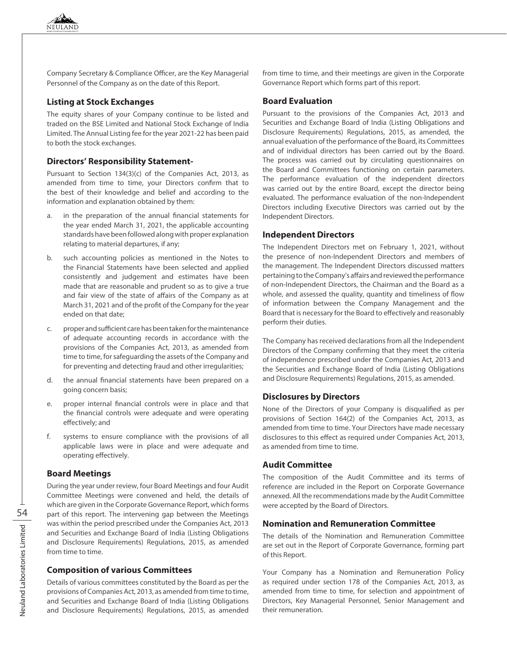Company Secretary & Compliance Officer, are the Key Managerial Personnel of the Company as on the date of this Report.

#### **Listing at Stock Exchanges**

The equity shares of your Company continue to be listed and traded on the BSE Limited and National Stock Exchange of India Limited. The Annual Listing fee for the year 2021-22 has been paid to both the stock exchanges.

#### **Directors' Responsibility Statement-**

Pursuant to Section 134(3)(c) of the Companies Act, 2013, as amended from time to time, your Directors confirm that to the best of their knowledge and belief and according to the information and explanation obtained by them:

- a. in the preparation of the annual financial statements for the year ended March 31, 2021, the applicable accounting standards have been followed along with proper explanation relating to material departures, if any;
- b. such accounting policies as mentioned in the Notes to the Financial Statements have been selected and applied consistently and judgement and estimates have been made that are reasonable and prudent so as to give a true and fair view of the state of affairs of the Company as at March 31, 2021 and of the profit of the Company for the year ended on that date;
- c. proper and sufficient care has been taken for the maintenance of adequate accounting records in accordance with the provisions of the Companies Act, 2013, as amended from time to time, for safeguarding the assets of the Company and for preventing and detecting fraud and other irregularities;
- d. the annual financial statements have been prepared on a going concern basis;
- e. proper internal financial controls were in place and that the financial controls were adequate and were operating effectively; and
- f. systems to ensure compliance with the provisions of all applicable laws were in place and were adequate and operating effectively.

#### **Board Meetings**

During the year under review, four Board Meetings and four Audit Committee Meetings were convened and held, the details of which are given in the Corporate Governance Report, which forms part of this report. The intervening gap between the Meetings was within the period prescribed under the Companies Act, 2013 and Securities and Exchange Board of India (Listing Obligations and Disclosure Requirements) Regulations, 2015, as amended from time to time.

#### **Composition of various Committees**

Details of various committees constituted by the Board as per the provisions of Companies Act, 2013, as amended from time to time, and Securities and Exchange Board of India (Listing Obligations and Disclosure Requirements) Regulations, 2015, as amended

from time to time, and their meetings are given in the Corporate Governance Report which forms part of this report.

#### **Board Evaluation**

Pursuant to the provisions of the Companies Act, 2013 and Securities and Exchange Board of India (Listing Obligations and Disclosure Requirements) Regulations, 2015, as amended, the annual evaluation of the performance of the Board, its Committees and of individual directors has been carried out by the Board. The process was carried out by circulating questionnaires on the Board and Committees functioning on certain parameters. The performance evaluation of the independent directors was carried out by the entire Board, except the director being evaluated. The performance evaluation of the non-Independent Directors including Executive Directors was carried out by the Independent Directors.

#### **Independent Directors**

The Independent Directors met on February 1, 2021, without the presence of non-Independent Directors and members of the management. The Independent Directors discussed matters pertaining to the Company's affairs and reviewed the performance of non-Independent Directors, the Chairman and the Board as a whole, and assessed the quality, quantity and timeliness of flow of information between the Company Management and the Board that is necessary for the Board to effectively and reasonably perform their duties.

The Company has received declarations from all the Independent Directors of the Company confirming that they meet the criteria of independence prescribed under the Companies Act, 2013 and the Securities and Exchange Board of India (Listing Obligations and Disclosure Requirements) Regulations, 2015, as amended.

#### **Disclosures by Directors**

None of the Directors of your Company is disqualified as per provisions of Section 164(2) of the Companies Act, 2013, as amended from time to time. Your Directors have made necessary disclosures to this effect as required under Companies Act, 2013, as amended from time to time.

#### **Audit Committee**

The composition of the Audit Committee and its terms of reference are included in the Report on Corporate Governance annexed. All the recommendations made by the Audit Committee were accepted by the Board of Directors.

#### **Nomination and Remuneration Committee**

The details of the Nomination and Remuneration Committee are set out in the Report of Corporate Governance, forming part of this Report.

Your Company has a Nomination and Remuneration Policy as required under section 178 of the Companies Act, 2013, as amended from time to time, for selection and appointment of Directors, Key Managerial Personnel, Senior Management and their remuneration.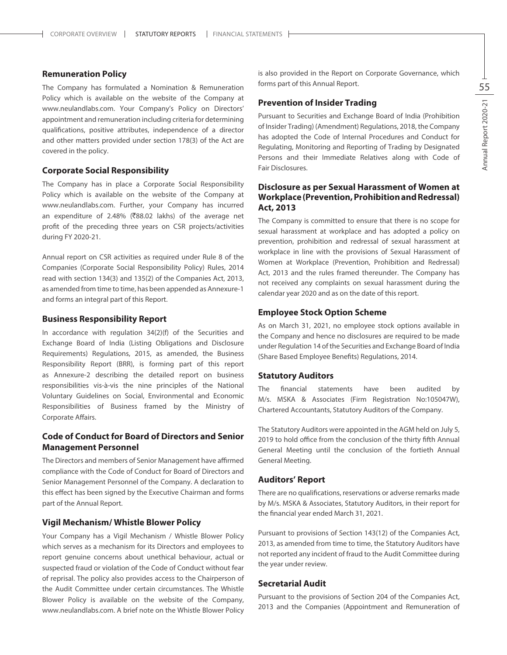#### **Remuneration Policy**

The Company has formulated a Nomination & Remuneration Policy which is available on the website of the Company at www.neulandlabs.com. Your Company's Policy on Directors' appointment and remuneration including criteria for determining qualifications, positive attributes, independence of a director and other matters provided under section 178(3) of the Act are covered in the policy.

#### **Corporate Social Responsibility**

The Company has in place a Corporate Social Responsibility Policy which is available on the website of the Company at www.neulandlabs.com. Further, your Company has incurred an expenditure of 2.48% ( $\overline{888.02}$  lakhs) of the average net profit of the preceding three years on CSR projects/activities during FY 2020-21.

Annual report on CSR activities as required under Rule 8 of the Companies (Corporate Social Responsibility Policy) Rules, 2014 read with section 134(3) and 135(2) of the Companies Act, 2013, as amended from time to time, has been appended as Annexure-1 and forms an integral part of this Report.

#### **Business Responsibility Report**

In accordance with regulation 34(2)(f) of the Securities and Exchange Board of India (Listing Obligations and Disclosure Requirements) Regulations, 2015, as amended, the Business Responsibility Report (BRR), is forming part of this report as Annexure-2 describing the detailed report on business responsibilities vis-à-vis the nine principles of the National Voluntary Guidelines on Social, Environmental and Economic Responsibilities of Business framed by the Ministry of Corporate Affairs.

#### **Code of Conduct for Board of Directors and Senior Management Personnel**

The Directors and members of Senior Management have affirmed compliance with the Code of Conduct for Board of Directors and Senior Management Personnel of the Company. A declaration to this effect has been signed by the Executive Chairman and forms part of the Annual Report.

#### **Vigil Mechanism/ Whistle Blower Policy**

Your Company has a Vigil Mechanism / Whistle Blower Policy which serves as a mechanism for its Directors and employees to report genuine concerns about unethical behaviour, actual or suspected fraud or violation of the Code of Conduct without fear of reprisal. The policy also provides access to the Chairperson of the Audit Committee under certain circumstances. The Whistle Blower Policy is available on the website of the Company, www.neulandlabs.com. A brief note on the Whistle Blower Policy

is also provided in the Report on Corporate Governance, which forms part of this Annual Report.

#### **Prevention of Insider Trading**

Pursuant to Securities and Exchange Board of India (Prohibition of Insider Trading) (Amendment) Regulations, 2018, the Company has adopted the Code of Internal Procedures and Conduct for Regulating, Monitoring and Reporting of Trading by Designated Persons and their Immediate Relatives along with Code of Fair Disclosures.

#### **Disclosure as per Sexual Harassment of Women at Workplace (Prevention, Prohibition and Redressal) Act, 2013**

The Company is committed to ensure that there is no scope for sexual harassment at workplace and has adopted a policy on prevention, prohibition and redressal of sexual harassment at workplace in line with the provisions of Sexual Harassment of Women at Workplace (Prevention, Prohibition and Redressal) Act, 2013 and the rules framed thereunder. The Company has not received any complaints on sexual harassment during the calendar year 2020 and as on the date of this report.

#### **Employee Stock Option Scheme**

As on March 31, 2021, no employee stock options available in the Company and hence no disclosures are required to be made under Regulation 14 of the Securities and Exchange Board of India (Share Based Employee Benefits) Regulations, 2014.

#### **Statutory Auditors**

The financial statements have been audited by M/s. MSKA & Associates (Firm Registration No:105047W), Chartered Accountants, Statutory Auditors of the Company.

The Statutory Auditors were appointed in the AGM held on July 5, 2019 to hold office from the conclusion of the thirty fifth Annual General Meeting until the conclusion of the fortieth Annual General Meeting.

#### **Auditors' Report**

There are no qualifications, reservations or adverse remarks made by M/s. MSKA & Associates, Statutory Auditors, in their report for the financial year ended March 31, 2021.

Pursuant to provisions of Section 143(12) of the Companies Act, 2013, as amended from time to time, the Statutory Auditors have not reported any incident of fraud to the Audit Committee during the year under review.

#### **Secretarial Audit**

Pursuant to the provisions of Section 204 of the Companies Act, 2013 and the Companies (Appointment and Remuneration of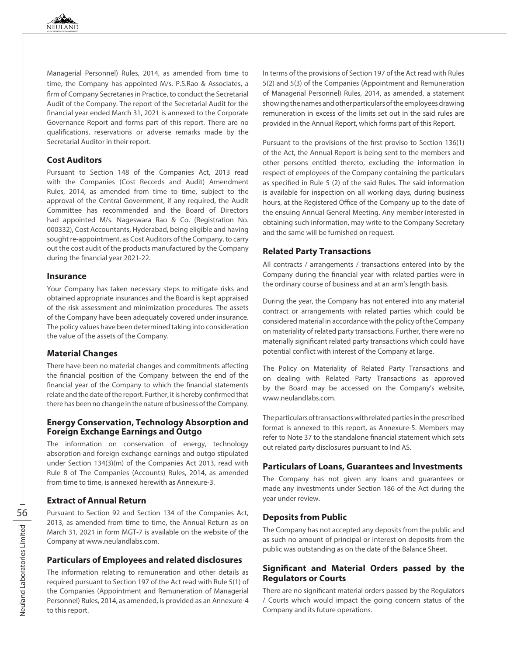Managerial Personnel) Rules, 2014, as amended from time to time, the Company has appointed M/s. P.S.Rao & Associates, a firm of Company Secretaries in Practice, to conduct the Secretarial Audit of the Company. The report of the Secretarial Audit for the financial year ended March 31, 2021 is annexed to the Corporate Governance Report and forms part of this report. There are no qualifications, reservations or adverse remarks made by the Secretarial Auditor in their report.

#### **Cost Auditors**

Pursuant to Section 148 of the Companies Act, 2013 read with the Companies (Cost Records and Audit) Amendment Rules, 2014, as amended from time to time, subject to the approval of the Central Government, if any required, the Audit Committee has recommended and the Board of Directors had appointed M/s. Nageswara Rao & Co. (Registration No. 000332), Cost Accountants, Hyderabad, being eligible and having sought re-appointment, as Cost Auditors of the Company, to carry out the cost audit of the products manufactured by the Company during the financial year 2021-22.

#### **Insurance**

Your Company has taken necessary steps to mitigate risks and obtained appropriate insurances and the Board is kept appraised of the risk assessment and minimization procedures. The assets of the Company have been adequately covered under insurance. The policy values have been determined taking into consideration the value of the assets of the Company.

#### **Material Changes**

There have been no material changes and commitments affecting the financial position of the Company between the end of the financial year of the Company to which the financial statements relate and the date of the report. Further, it is hereby confirmed that there has been no change in the nature of business of the Company.

#### **Energy Conservation, Technology Absorption and Foreign Exchange Earnings and Outgo**

The information on conservation of energy, technology absorption and foreign exchange earnings and outgo stipulated under Section 134(3)(m) of the Companies Act 2013, read with Rule 8 of The Companies (Accounts) Rules, 2014, as amended from time to time, is annexed herewith as Annexure-3.

#### **Extract of Annual Return**

Pursuant to Section 92 and Section 134 of the Companies Act, 2013, as amended from time to time, the Annual Return as on March 31, 2021 in form MGT-7 is available on the website of the Company at www.neulandlabs.com.

#### **Particulars of Employees and related disclosures**

The information relating to remuneration and other details as required pursuant to Section 197 of the Act read with Rule 5(1) of the Companies (Appointment and Remuneration of Managerial Personnel) Rules, 2014, as amended, is provided as an Annexure-4 to this report.

In terms of the provisions of Section 197 of the Act read with Rules 5(2) and 5(3) of the Companies (Appointment and Remuneration of Managerial Personnel) Rules, 2014, as amended, a statement showing the names and other particulars of the employees drawing remuneration in excess of the limits set out in the said rules are provided in the Annual Report, which forms part of this Report.

Pursuant to the provisions of the first proviso to Section 136(1) of the Act, the Annual Report is being sent to the members and other persons entitled thereto, excluding the information in respect of employees of the Company containing the particulars as specified in Rule 5 (2) of the said Rules. The said information is available for inspection on all working days, during business hours, at the Registered Office of the Company up to the date of the ensuing Annual General Meeting. Any member interested in obtaining such information, may write to the Company Secretary and the same will be furnished on request.

#### **Related Party Transactions**

All contracts / arrangements / transactions entered into by the Company during the financial year with related parties were in the ordinary course of business and at an arm's length basis.

During the year, the Company has not entered into any material contract or arrangements with related parties which could be considered material in accordance with the policy of the Company on materiality of related party transactions. Further, there were no materially significant related party transactions which could have potential conflict with interest of the Company at large.

The Policy on Materiality of Related Party Transactions and on dealing with Related Party Transactions as approved by the Board may be accessed on the Company's website, www.neulandlabs.com.

The particulars of transactions with related parties in the prescribed format is annexed to this report, as Annexure-5. Members may refer to Note 37 to the standalone financial statement which sets out related party disclosures pursuant to Ind AS.

#### **Particulars of Loans, Guarantees and Investments**

The Company has not given any loans and guarantees or made any investments under Section 186 of the Act during the year under review.

#### **Deposits from Public**

The Company has not accepted any deposits from the public and as such no amount of principal or interest on deposits from the public was outstanding as on the date of the Balance Sheet.

#### **Significant and Material Orders passed by the Regulators or Courts**

There are no significant material orders passed by the Regulators / Courts which would impact the going concern status of the Company and its future operations.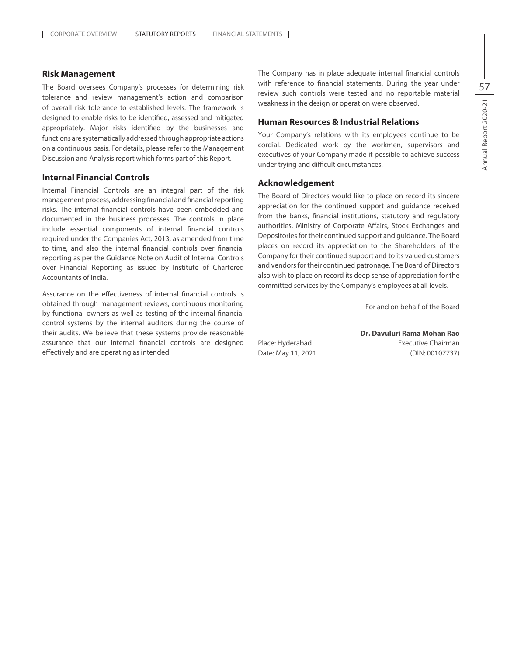#### **Risk Management**

The Board oversees Company's processes for determining risk tolerance and review management's action and comparison of overall risk tolerance to established levels. The framework is designed to enable risks to be identified, assessed and mitigated appropriately. Major risks identified by the businesses and functions are systematically addressed through appropriate actions on a continuous basis. For details, please refer to the Management Discussion and Analysis report which forms part of this Report.

#### **Internal Financial Controls**

Internal Financial Controls are an integral part of the risk management process, addressing financial and financial reporting risks. The internal financial controls have been embedded and documented in the business processes. The controls in place include essential components of internal financial controls required under the Companies Act, 2013, as amended from time to time, and also the internal financial controls over financial reporting as per the Guidance Note on Audit of Internal Controls over Financial Reporting as issued by Institute of Chartered Accountants of India.

Assurance on the effectiveness of internal financial controls is obtained through management reviews, continuous monitoring by functional owners as well as testing of the internal financial control systems by the internal auditors during the course of their audits. We believe that these systems provide reasonable assurance that our internal financial controls are designed effectively and are operating as intended.

The Company has in place adequate internal financial controls with reference to financial statements. During the year under review such controls were tested and no reportable material weakness in the design or operation were observed.

#### **Human Resources & Industrial Relations**

Your Company's relations with its employees continue to be cordial. Dedicated work by the workmen, supervisors and executives of your Company made it possible to achieve success under trying and difficult circumstances.

#### **Acknowledgement**

The Board of Directors would like to place on record its sincere appreciation for the continued support and guidance received from the banks, financial institutions, statutory and regulatory authorities, Ministry of Corporate Affairs, Stock Exchanges and Depositories for their continued support and guidance. The Board places on record its appreciation to the Shareholders of the Company for their continued support and to its valued customers and vendors for their continued patronage. The Board of Directors also wish to place on record its deep sense of appreciation for the committed services by the Company's employees at all levels.

For and on behalf of the Board

**Dr. Davuluri Rama Mohan Rao** Place: Hyderabad **Executive Chairman** Date: May 11, 2021 (DIN: 00107737)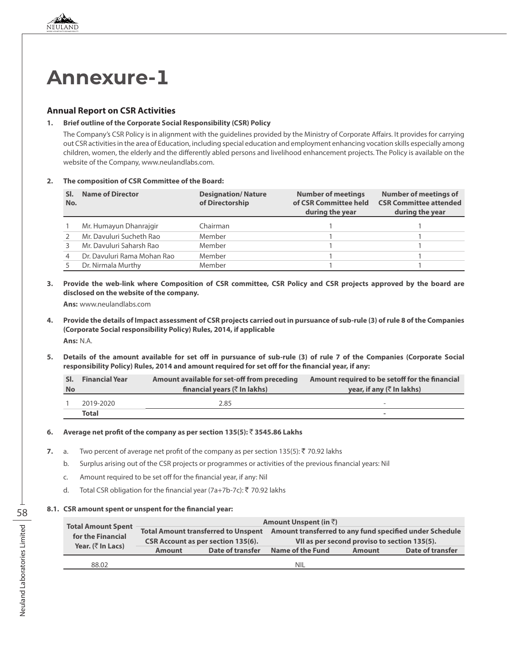

#### **Annual Report on CSR Activities**

#### **1. Brief outline of the Corporate Social Responsibility (CSR) Policy**

The Company's CSR Policy is in alignment with the guidelines provided by the Ministry of Corporate Affairs. It provides for carrying out CSR activities in the area of Education, including special education and employment enhancing vocation skills especially among children, women, the elderly and the differently abled persons and livelihood enhancement projects. The Policy is available on the website of the Company, www.neulandlabs.com.

**2. The composition of CSR Committee of the Board:**

| No. | <b>Name of Director</b>     | <b>Designation/Nature</b><br>of Directorship | <b>Number of meetings</b><br>of CSR Committee held<br>during the year | <b>Number of meetings of</b><br><b>CSR Committee attended</b><br>during the year |
|-----|-----------------------------|----------------------------------------------|-----------------------------------------------------------------------|----------------------------------------------------------------------------------|
|     | Mr. Humayun Dhanrajgir      | Chairman                                     |                                                                       |                                                                                  |
|     | Mr. Davuluri Sucheth Rao    | Member                                       |                                                                       |                                                                                  |
|     | Mr. Davuluri Saharsh Rao    | Member                                       |                                                                       |                                                                                  |
|     | Dr. Davuluri Rama Mohan Rao | Member                                       |                                                                       |                                                                                  |
|     | Dr. Nirmala Murthy          | Member                                       |                                                                       |                                                                                  |

**3. Provide the web-link where Composition of CSR committee, CSR Policy and CSR projects approved by the board are disclosed on the website of the company.**

**Ans:** www.neulandlabs.com

- **4. Provide the details of Impact assessment of CSR projects carried out in pursuance of sub-rule (3) of rule 8 of the Companies (Corporate Social responsibility Policy) Rules, 2014, if applicable Ans:** N.A.
- **5. Details of the amount available for set off in pursuance of sub-rule (3) of rule 7 of the Companies (Corporate Social responsibility Policy) Rules, 2014 and amount required for set off for the financial year, if any:**

| SI.       | <b>Financial Year</b> | Amount available for set-off from preceding         | Amount required to be setoff for the financial |
|-----------|-----------------------|-----------------------------------------------------|------------------------------------------------|
| <b>No</b> |                       | financial years $(\bar{\bar{\mathbf{x}}}$ In lakhs) | year, if any $(\bar{\tau}$ In lakhs)           |
|           | 2019-2020             | 2.85                                                | $\overline{\phantom{a}}$                       |
|           | Total                 |                                                     | -                                              |

#### **6. Average net profit of the company as per section 135(5):** ` **3545.86 Lakhs**

- **7.** a. Two percent of average net profit of the company as per section  $135(5)$ :  $\bar{\tau}$  70.92 lakhs
	- b. Surplus arising out of the CSR projects or programmes or activities of the previous financial years: Nil
	- c. Amount required to be set off for the financial year, if any: Nil
	- d. Total CSR obligation for the financial year (7a+7b-7c):  $\bar{z}$  70.92 lakhs

#### **8.1. CSR amount spent or unspent for the financial year:**

| <b>Total Amount Spent</b>                 |               |                                            | Amount Unspent (in $\bar{z}$ )                          |               |                  |  |
|-------------------------------------------|---------------|--------------------------------------------|---------------------------------------------------------|---------------|------------------|--|
|                                           |               | <b>Total Amount transferred to Unspent</b> | Amount transferred to any fund specified under Schedule |               |                  |  |
| for the Financial                         |               | <b>CSR Account as per section 135(6).</b>  | VII as per second proviso to section 135(5).            |               |                  |  |
| Year. $(\bar{\bar{\mathcal{C}}}$ In Lacs) | <b>Amount</b> | Date of transfer                           | Name of the Fund                                        | <b>Amount</b> | Date of transfer |  |
| 88.02                                     |               |                                            | <b>NIL</b>                                              |               |                  |  |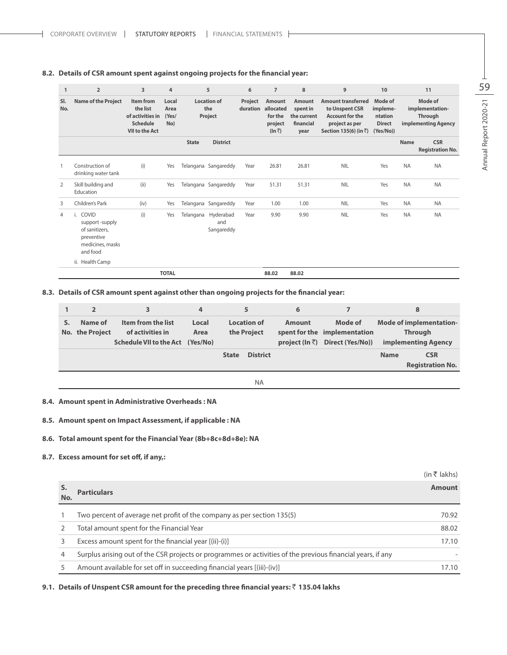#### **8.2. Details of CSR amount spent against ongoing projects for the financial year:**

| $\mathbf{1}$   | $\overline{2}$                                                                                | 3                                                                              | 4                             |              | 5                                        | 6                   | $\overline{7}$                                                           | 8                                                             | 9                                                                                                                | 10                                                           |             | 11                                                           |
|----------------|-----------------------------------------------------------------------------------------------|--------------------------------------------------------------------------------|-------------------------------|--------------|------------------------------------------|---------------------|--------------------------------------------------------------------------|---------------------------------------------------------------|------------------------------------------------------------------------------------------------------------------|--------------------------------------------------------------|-------------|--------------------------------------------------------------|
| SI.<br>No.     | <b>Name of the Project</b>                                                                    | Item from<br>the list<br>of activities in<br><b>Schedule</b><br>VII to the Act | Local<br>Area<br>(Yes/<br>No) |              | <b>Location of</b><br>the<br>Project     | Project<br>duration | <b>Amount</b><br>allocated<br>for the<br>project<br>$(\ln \overline{z})$ | <b>Amount</b><br>spent in<br>the current<br>financial<br>year | <b>Amount transferred</b><br>to Unspent CSR<br><b>Account for the</b><br>project as per<br>Section 135(6) (in ₹) | Mode of<br>impleme-<br>ntation<br><b>Direct</b><br>(Yes/No)) |             | Mode of<br>implementation-<br>Through<br>implementing Agency |
|                |                                                                                               |                                                                                |                               | <b>State</b> | <b>District</b>                          |                     |                                                                          |                                                               |                                                                                                                  |                                                              | <b>Name</b> | <b>CSR</b><br><b>Registration No.</b>                        |
|                | Construction of<br>drinking water tank                                                        | (i)                                                                            | Yes                           |              | Telangana Sangareddy                     | Year                | 26.81                                                                    | 26.81                                                         | <b>NIL</b>                                                                                                       | Yes                                                          | <b>NA</b>   | <b>NA</b>                                                    |
| 2              | Skill building and<br>Education                                                               | (iii)                                                                          | Yes                           |              | Telangana Sangareddy                     | Year                | 51.31                                                                    | 51.31                                                         | <b>NIL</b>                                                                                                       | Yes                                                          | <b>NA</b>   | <b>NA</b>                                                    |
| 3              | Children's Park                                                                               | (iv)                                                                           | Yes                           |              | Telangana Sangareddy                     | Year                | 1.00                                                                     | 1.00                                                          | <b>NIL</b>                                                                                                       | Yes                                                          | <b>NA</b>   | <b>NA</b>                                                    |
| $\overline{4}$ | COVID<br>i.<br>support-supply<br>of sanitizers.<br>preventive<br>medicines, masks<br>and food | (i)                                                                            | Yes                           |              | Telangana Hyderabad<br>and<br>Sangareddy | Year                | 9.90                                                                     | 9.90                                                          | <b>NIL</b>                                                                                                       | Yes                                                          | <b>NA</b>   | <b>NA</b>                                                    |
|                | ii. Health Camp                                                                               |                                                                                |                               |              |                                          |                     |                                                                          |                                                               |                                                                                                                  |                                                              |             |                                                              |
|                |                                                                                               |                                                                                | <b>TOTAL</b>                  |              |                                          |                     | 88.02                                                                    | 88.02                                                         |                                                                                                                  |                                                              |             |                                                              |

#### **8.3. Details of CSR amount spent against other than ongoing projects for the financial year:**

| $\overline{\mathbf{2}}$    | 3                                                                          | 4             |                                   |                 | 6             |                                                                                     |             | 8                                                                              |
|----------------------------|----------------------------------------------------------------------------|---------------|-----------------------------------|-----------------|---------------|-------------------------------------------------------------------------------------|-------------|--------------------------------------------------------------------------------|
| Name of<br>No. the Project | Item from the list<br>of activities in<br>Schedule VII to the Act (Yes/No) | Local<br>Area | <b>Location of</b><br>the Project |                 | <b>Amount</b> | Mode of<br>spent for the implementation<br>project (In $\bar{z}$ ) Direct (Yes/No)) |             | <b>Mode of implementation-</b><br><b>Through</b><br><b>implementing Agency</b> |
|                            |                                                                            |               | <b>State</b>                      | <b>District</b> |               |                                                                                     | <b>Name</b> | <b>CSR</b>                                                                     |
|                            |                                                                            |               |                                   |                 |               |                                                                                     |             | <b>Registration No.</b>                                                        |
|                            |                                                                            |               |                                   | <b>NA</b>       |               |                                                                                     |             |                                                                                |

#### **8.4. Amount spent in Administrative Overheads : NA**

#### **8.5. Amount spent on Impact Assessment, if applicable : NA**

#### **8.6. Total amount spent for the Financial Year (8b+8c+8d+8e): NA**

#### **8.7. Excess amount for set off, if any,:**

|           |                                                                                                             | (in ₹ lakhs)  |
|-----------|-------------------------------------------------------------------------------------------------------------|---------------|
| S.<br>No. | <b>Particulars</b>                                                                                          | <b>Amount</b> |
|           | Two percent of average net profit of the company as per section 135(5)                                      | 70.92         |
|           | Total amount spent for the Financial Year                                                                   | 88.02         |
|           | Excess amount spent for the financial year [(ii)-(i)]                                                       | 17.10         |
| 4         | Surplus arising out of the CSR projects or programmes or activities of the previous financial years, if any |               |
|           | Amount available for set off in succeeding financial years [(iii)-(iv)]                                     | 17.10         |

#### **9.1. Details of Unspent CSR amount for the preceding three financial years:** ` **135.04 lakhs**

Annual Report 2020-21  $\boxed{5}$ Annual Report 2020-21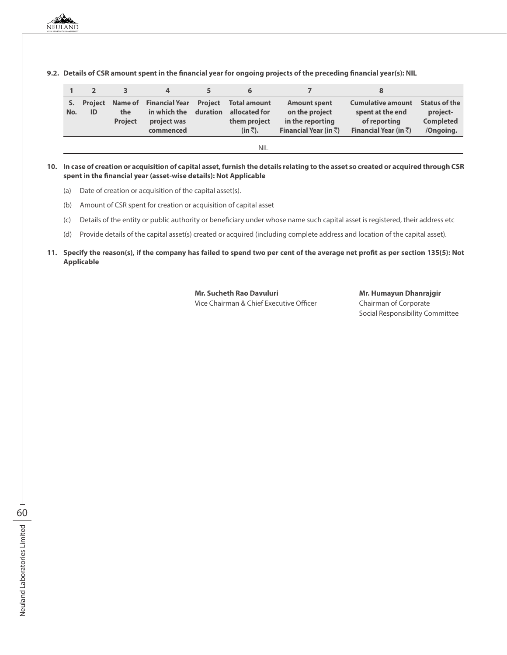|           |               |                       | 4                                                                          |          | 6                                                                 |                                                                                             |                                                                                                |                                                                   |
|-----------|---------------|-----------------------|----------------------------------------------------------------------------|----------|-------------------------------------------------------------------|---------------------------------------------------------------------------------------------|------------------------------------------------------------------------------------------------|-------------------------------------------------------------------|
| S.<br>No. | Project<br>ID | the<br><b>Project</b> | Name of Financial Year Project<br>in which the<br>project was<br>commenced | duration | Total amount<br>allocated for<br>them project<br>$(in \bar{z})$ . | <b>Amount spent</b><br>on the project<br>in the reporting<br>Financial Year (in $\bar{z}$ ) | <b>Cumulative amount</b><br>spent at the end<br>of reporting<br>Financial Year (in $\bar{z}$ ) | <b>Status of the</b><br>project-<br><b>Completed</b><br>/Ongoing. |
|           |               |                       |                                                                            |          | NIL                                                               |                                                                                             |                                                                                                |                                                                   |

**9.2. Details of CSR amount spent in the financial year for ongoing projects of the preceding financial year(s): NIL**

#### **10. In case of creation or acquisition of capital asset, furnish the details relating to the asset so created or acquired through CSR spent in the financial year (asset-wise details): Not Applicable**

- (a) Date of creation or acquisition of the capital asset(s).
- (b) Amount of CSR spent for creation or acquisition of capital asset
- (c) Details of the entity or public authority or beneficiary under whose name such capital asset is registered, their address etc
- (d) Provide details of the capital asset(s) created or acquired (including complete address and location of the capital asset).

#### **11. Specify the reason(s), if the company has failed to spend two per cent of the average net profit as per section 135(5): Not Applicable**

**Mr. Sucheth Rao Davuluri Mr. Humayun Dhanrajgir** Vice Chairman & Chief Executive Officer Chairman of Corporate

Social Responsibility Committee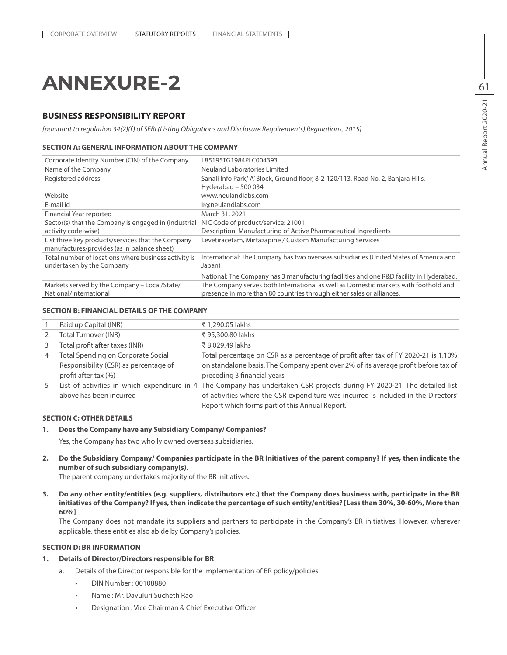# **ANNEXURE-2**

#### **BUSINESS RESPONSIBILITY REPORT**

*[pursuant to regulation 34(2)(f) of SEBI (Listing Obligations and Disclosure Requirements) Regulations, 2015]*

#### **SECTION A: GENERAL INFORMATION ABOUT THE COMPANY**

| Corporate Identity Number (CIN) of the Company                                                   | L85195TG1984PLC004393                                                                                                                                        |
|--------------------------------------------------------------------------------------------------|--------------------------------------------------------------------------------------------------------------------------------------------------------------|
| Name of the Company                                                                              | Neuland Laboratories Limited                                                                                                                                 |
| Registered address                                                                               | Sanali Info Park, A' Block, Ground floor, 8-2-120/113, Road No. 2, Banjara Hills,<br>Hyderabad - 500 034                                                     |
| Website                                                                                          | www.neulandlabs.com                                                                                                                                          |
| E-mail id                                                                                        | ir@neulandlabs.com                                                                                                                                           |
| Financial Year reported                                                                          | March 31, 2021                                                                                                                                               |
| Sector(s) that the Company is engaged in (industrial<br>activity code-wise)                      | NIC Code of product/service: 21001<br>Description: Manufacturing of Active Pharmaceutical Ingredients                                                        |
| List three key products/services that the Company<br>manufactures/provides (as in balance sheet) | Levetiracetam, Mirtazapine / Custom Manufacturing Services                                                                                                   |
| Total number of locations where business activity is<br>undertaken by the Company                | International: The Company has two overseas subsidiaries (United States of America and<br>Japan)                                                             |
|                                                                                                  | National: The Company has 3 manufacturing facilities and one R&D facility in Hyderabad.                                                                      |
| Markets served by the Company - Local/State/<br>National/International                           | The Company serves both International as well as Domestic markets with foothold and<br>presence in more than 80 countries through either sales or alliances. |

#### **SECTION B: FINANCIAL DETAILS OF THE COMPANY**

|                | Paid up Capital (INR)                                                                               | ₹1,290.05 lakhs                                                                                                                                                                                                                                                   |
|----------------|-----------------------------------------------------------------------------------------------------|-------------------------------------------------------------------------------------------------------------------------------------------------------------------------------------------------------------------------------------------------------------------|
| 2              | <b>Total Turnover (INR)</b>                                                                         | ₹ 95,300.80 lakhs                                                                                                                                                                                                                                                 |
| 3              | Total profit after taxes (INR)                                                                      | ₹8,029,49 lakhs                                                                                                                                                                                                                                                   |
| $\overline{4}$ | Total Spending on Corporate Social<br>Responsibility (CSR) as percentage of<br>profit after tax (%) | Total percentage on CSR as a percentage of profit after tax of FY 2020-21 is 1.10%<br>on standalone basis. The Company spent over 2% of its average profit before tax of<br>preceding 3 financial years                                                           |
| 5              | above has been incurred                                                                             | List of activities in which expenditure in 4 The Company has undertaken CSR projects during FY 2020-21. The detailed list<br>of activities where the CSR expenditure was incurred is included in the Directors'<br>Report which forms part of this Annual Report. |

#### **SECTION C: OTHER DETAILS**

#### **1. Does the Company have any Subsidiary Company/ Companies?**

Yes, the Company has two wholly owned overseas subsidiaries.

**2. Do the Subsidiary Company/ Companies participate in the BR Initiatives of the parent company? If yes, then indicate the number of such subsidiary company(s).**

The parent company undertakes majority of the BR initiatives.

**3. Do any other entity/entities (e.g. suppliers, distributors etc.) that the Company does business with, participate in the BR initiatives of the Company? If yes, then indicate the percentage of such entity/entities? [Less than 30%, 30-60%, More than 60%]**

The Company does not mandate its suppliers and partners to participate in the Company's BR initiatives. However, wherever applicable, these entities also abide by Company's policies.

#### **SECTION D: BR INFORMATION**

#### **1. Details of Director/Directors responsible for BR**

- a. Details of the Director responsible for the implementation of BR policy/policies
	- • DIN Number : 00108880
	- Name : Mr. Davuluri Sucheth Rao
	- • Designation : Vice Chairman & Chief Executive Officer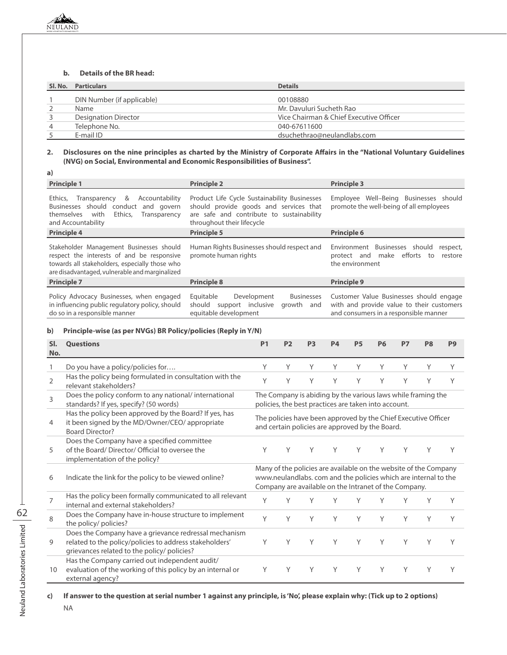#### **b. Details of the BR head:**

| Sl. No.        | <b>Particulars</b>         | <b>Details</b>                          |
|----------------|----------------------------|-----------------------------------------|
|                | DIN Number (if applicable) | 00108880                                |
|                | Name                       | Mr. Davuluri Sucheth Rao                |
| 3              | Designation Director       | Vice Chairman & Chief Executive Officer |
| $\overline{4}$ | Telephone No.              | 040-67611600                            |
|                | E-mail ID                  | dsuchethrao@neulandlabs.com             |

#### **2. Disclosures on the nine principles as charted by the Ministry of Corporate Affairs in the "National Voluntary Guidelines (NVG) on Social, Environmental and Economic Responsibilities of Business".**

| a)                                                                                                                                                                                         |                                                                                                                                                                   |                                                                                                                               |  |  |
|--------------------------------------------------------------------------------------------------------------------------------------------------------------------------------------------|-------------------------------------------------------------------------------------------------------------------------------------------------------------------|-------------------------------------------------------------------------------------------------------------------------------|--|--|
| <b>Principle 1</b>                                                                                                                                                                         | <b>Principle 2</b>                                                                                                                                                | <b>Principle 3</b>                                                                                                            |  |  |
| &<br>Ethics,<br>Accountability<br>Transparency<br>Businesses should<br>conduct<br>and govern<br>Ethics,<br>with<br>themselves<br>Transparency<br>and Accountability                        | Product Life Cycle Sustainability Businesses<br>should provide goods and services that<br>are safe and contribute to sustainability<br>throughout their lifecycle | Well-Being Businesses should<br>Employee<br>promote the well-being of all employees                                           |  |  |
| <b>Principle 4</b>                                                                                                                                                                         | <b>Principle 5</b>                                                                                                                                                | <b>Principle 6</b>                                                                                                            |  |  |
| Stakeholder Management Businesses should<br>respect the interests of and be responsive<br>towards all stakeholders, especially those who<br>are disadvantaged, vulnerable and marginalized | Human Rights Businesses should respect and<br>promote human rights                                                                                                | Environment Businesses should<br>respect,<br>efforts<br>make<br>restore<br>protect and<br>to<br>the environment               |  |  |
| <b>Principle 7</b>                                                                                                                                                                         | <b>Principle 8</b>                                                                                                                                                | <b>Principle 9</b>                                                                                                            |  |  |
| Policy Advocacy Businesses, when engaged<br>in influencing public regulatory policy, should<br>do so in a responsible manner                                                               | Equitable<br>Development<br><b>Businesses</b><br>should<br>support inclusive<br>growth and<br>equitable development                                               | Customer Value Businesses should engage<br>with and provide value to their customers<br>and consumers in a responsible manner |  |  |

#### **b) Principle-wise (as per NVGs) BR Policy/policies (Reply in Y/N)**

| SI.            | <b>Ouestions</b>                                                                                                                                                | P <sub>1</sub>                                                                                                                                                                               | <b>P2</b> | P <sub>3</sub> | <b>P4</b> | <b>P5</b> | <b>P6</b>                                            | <b>P7</b> | P <sub>8</sub>                                                 | P <sub>9</sub> |
|----------------|-----------------------------------------------------------------------------------------------------------------------------------------------------------------|----------------------------------------------------------------------------------------------------------------------------------------------------------------------------------------------|-----------|----------------|-----------|-----------|------------------------------------------------------|-----------|----------------------------------------------------------------|----------------|
| No.            |                                                                                                                                                                 |                                                                                                                                                                                              |           |                |           |           |                                                      |           |                                                                |                |
|                | Do you have a policy/policies for                                                                                                                               | Y                                                                                                                                                                                            | Υ         | Υ              | Υ         | Υ         | Υ                                                    | Y         | Υ                                                              | Υ              |
| $\overline{2}$ | Has the policy being formulated in consultation with the<br>relevant stakeholders?                                                                              | Y                                                                                                                                                                                            | Υ         | Y              | Y         | Y         | Y                                                    | Y         | Υ                                                              | Y              |
| 3              | Does the policy conform to any national/international<br>standards? If yes, specify? (50 words)                                                                 |                                                                                                                                                                                              |           |                |           |           | policies, the best practices are taken into account. |           | The Company is abiding by the various laws while framing the   |                |
| $\overline{4}$ | Has the policy been approved by the Board? If yes, has<br>it been signed by the MD/Owner/CEO/ appropriate<br><b>Board Director?</b>                             |                                                                                                                                                                                              |           |                |           |           | and certain policies are approved by the Board.      |           | The policies have been approved by the Chief Executive Officer |                |
| 5              | Does the Company have a specified committee<br>of the Board/Director/Official to oversee the<br>implementation of the policy?                                   | Υ                                                                                                                                                                                            | Υ         | Υ              | Υ         | Υ         | Υ                                                    | Y         | Υ                                                              | Υ              |
| 6              | Indicate the link for the policy to be viewed online?                                                                                                           | Many of the policies are available on the website of the Company<br>www.neulandlabs. com and the policies which are internal to the<br>Company are available on the Intranet of the Company. |           |                |           |           |                                                      |           |                                                                |                |
| 7              | Has the policy been formally communicated to all relevant<br>internal and external stakeholders?                                                                | Y                                                                                                                                                                                            | Υ         | Υ              | Υ         | Υ         | Υ                                                    | Y         | Υ                                                              | Υ              |
| 8              | Does the Company have in-house structure to implement<br>the policy/ policies?                                                                                  | Y                                                                                                                                                                                            | Υ         | Y              | Y         | Υ         | Y                                                    | Y         | Y                                                              | Y              |
| 9              | Does the Company have a grievance redressal mechanism<br>related to the policy/policies to address stakeholders'<br>grievances related to the policy/ policies? | Υ                                                                                                                                                                                            | Υ         | Y              | Y         | Υ         | Y                                                    | Y         | Υ                                                              | Υ              |
| 10             | Has the Company carried out independent audit/<br>evaluation of the working of this policy by an internal or<br>external agency?                                | Υ                                                                                                                                                                                            | Υ         | Y              | Υ         | Υ         | Υ                                                    | Υ         | Υ                                                              | Υ              |

**c) If answer to the question at serial number 1 against any principle, is 'No', please explain why: (Tick up to 2 options)**

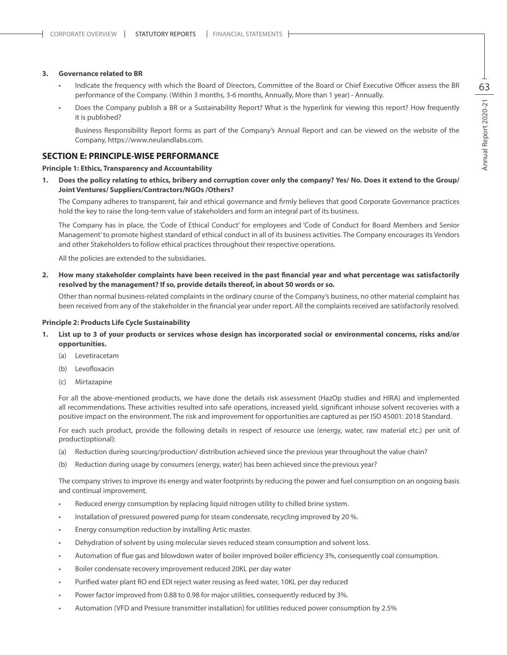#### **3. Governance related to BR**

- Indicate the frequency with which the Board of Directors, Committee of the Board or Chief Executive Officer assess the BR performance of the Company. (Within 3 months, 3-6 months, Annually, More than 1 year) - Annually.
- Does the Company publish a BR or a Sustainability Report? What is the hyperlink for viewing this report? How frequently it is published?

 Business Responsibility Report forms as part of the Company's Annual Report and can be viewed on the website of the Company, https://www.neulandlabs.com.

#### **SECTION E: PRINCIPLE-WISE PERFORMANCE**

#### **Principle 1: Ethics, Transparency and Accountability**

**1. Does the policy relating to ethics, bribery and corruption cover only the company? Yes/ No. Does it extend to the Group/ Joint Ventures/ Suppliers/Contractors/NGOs /Others?**

The Company adheres to transparent, fair and ethical governance and firmly believes that good Corporate Governance practices hold the key to raise the long-term value of stakeholders and form an integral part of its business.

The Company has in place, the 'Code of Ethical Conduct' for employees and 'Code of Conduct for Board Members and Senior Management' to promote highest standard of ethical conduct in all of its business activities. The Company encourages its Vendors and other Stakeholders to follow ethical practices throughout their respective operations.

All the policies are extended to the subsidiaries.

**2. How many stakeholder complaints have been received in the past financial year and what percentage was satisfactorily resolved by the management? If so, provide details thereof, in about 50 words or so.**

Other than normal business-related complaints in the ordinary course of the Company's business, no other material complaint has been received from any of the stakeholder in the financial year under report. All the complaints received are satisfactorily resolved.

#### **Principle 2: Products Life Cycle Sustainability**

- **1. List up to 3 of your products or services whose design has incorporated social or environmental concerns, risks and/or opportunities.**
	- (a) Levetiracetam
	- (b) Levofloxacin
	- (c) Mirtazapine

For all the above-mentioned products, we have done the details risk assessment (HazOp studies and HIRA) and implemented all recommendations. These activities resulted into safe operations, increased yield, significant inhouse solvent recoveries with a positive impact on the environment. The risk and improvement for opportunities are captured as per ISO 45001: 2018 Standard.

For each such product, provide the following details in respect of resource use (energy, water, raw material etc.) per unit of product(optional):

- (a) Reduction during sourcing/production/ distribution achieved since the previous year throughout the value chain?
- (b) Reduction during usage by consumers (energy, water) has been achieved since the previous year?

The company strives to improve its energy and water footprints by reducing the power and fuel consumption on an ongoing basis and continual improvement.

- Reduced energy consumption by replacing liquid nitrogen utility to chilled brine system.
- Installation of pressured powered pump for steam condensate, recycling improved by 20 %.
- Energy consumption reduction by installing Artic master.
- Dehydration of solvent by using molecular sieves reduced steam consumption and solvent loss.
- Automation of flue gas and blowdown water of boiler improved boiler efficiency 3%, consequently coal consumption.
- Boiler condensate recovery improvement reduced 20KL per day water
- Purified water plant RO end EDI reject water reusing as feed water, 10KL per day reduced
- Power factor improved from 0.88 to 0.98 for major utilities, consequently reduced by 3%.
- Automation (VFD and Pressure transmitter installation) for utilities reduced power consumption by 2.5%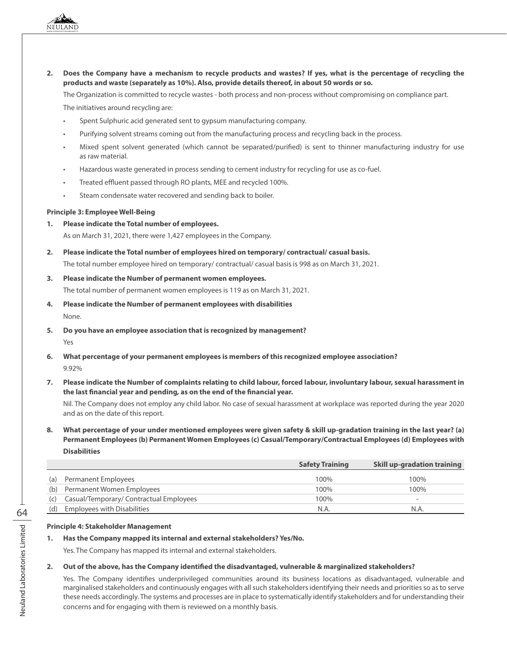**2. Does the Company have a mechanism to recycle products and wastes? If yes, what is the percentage of recycling the products and waste (separately as 10%). Also, provide details thereof, in about 50 words or so.**

The Organization is committed to recycle wastes - both process and non-process without compromising on compliance part.

The initiatives around recycling are:

- Spent Sulphuric acid generated sent to gypsum manufacturing company.
- Purifying solvent streams coming out from the manufacturing process and recycling back in the process.
- Mixed spent solvent generated (which cannot be separated/purified) is sent to thinner manufacturing industry for use as raw material.
- Hazardous waste generated in process sending to cement industry for recycling for use as co-fuel.
- Treated effluent passed through RO plants, MEE and recycled 100%.
- Steam condensate water recovered and sending back to boiler.

#### **Principle 3: Employee Well-Being**

**1. Please indicate the Total number of employees.**

As on March 31, 2021, there were 1,427 employees in the Company.

**2. Please indicate the Total number of employees hired on temporary/ contractual/ casual basis.** The total number employee hired on temporary/ contractual/ casual basis is 998 as on March 31, 2021.

#### **3. Please indicate the Number of permanent women employees.**

The total number of permanent women employees is 119 as on March 31, 2021.

- **4. Please indicate the Number of permanent employees with disabilities** None.
- **5. Do you have an employee association that is recognized by management?** Yes
- **6. What percentage of your permanent employees is members of this recognized employee association?** 9.92%
- **7. Please indicate the Number of complaints relating to child labour, forced labour, involuntary labour, sexual harassment in the last financial year and pending, as on the end of the financial year.**

Nil. The Company does not employ any child labor. No case of sexual harassment at workplace was reported during the year 2020 and as on the date of this report.

**8. What percentage of your under mentioned employees were given safety & skill up-gradation training in the last year? (a) Permanent Employees (b) Permanent Women Employees (c) Casual/Temporary/Contractual Employees (d) Employees with Disabilities**

|     |                                         | <b>Safety Training</b> | <b>Skill up-gradation training</b> |
|-----|-----------------------------------------|------------------------|------------------------------------|
| (a) | Permanent Employees                     | 100%                   | 100%                               |
| (b) | Permanent Women Employees               | 100%                   | 100%                               |
| (C) | Casual/Temporary/ Contractual Employees | 100%                   | $\overline{\phantom{0}}$           |
| (d) | <b>Employees with Disabilities</b>      | N.A.                   | N.A.                               |

#### **Principle 4: Stakeholder Management**

#### **1. Has the Company mapped its internal and external stakeholders? Yes/No.**

Yes. The Company has mapped its internal and external stakeholders.

#### **2. Out of the above, has the Company identified the disadvantaged, vulnerable & marginalized stakeholders?**

Yes. The Company identifies underprivileged communities around its business locations as disadvantaged, vulnerable and marginalised stakeholders and continuously engages with all such stakeholders identifying their needs and priorities so as to serve these needs accordingly. The systems and processes are in place to systematically identify stakeholders and for understanding their concerns and for engaging with them is reviewed on a monthly basis.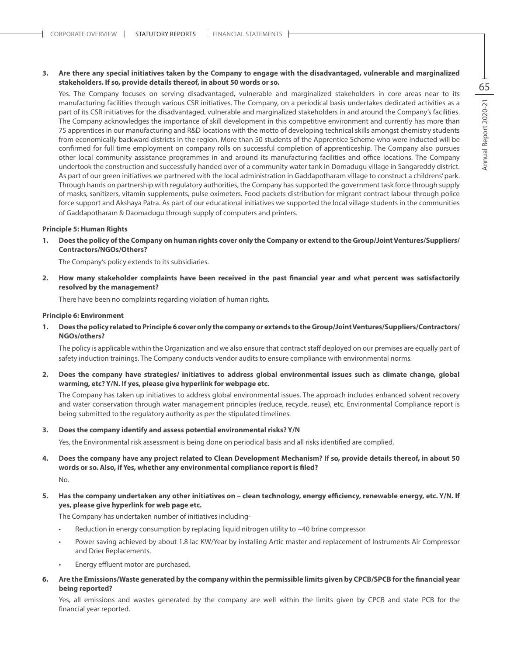#### **3. Are there any special initiatives taken by the Company to engage with the disadvantaged, vulnerable and marginalized stakeholders. If so, provide details thereof, in about 50 words or so.**

Yes. The Company focuses on serving disadvantaged, vulnerable and marginalized stakeholders in core areas near to its manufacturing facilities through various CSR initiatives. The Company, on a periodical basis undertakes dedicated activities as a part of its CSR initiatives for the disadvantaged, vulnerable and marginalized stakeholders in and around the Company's facilities. The Company acknowledges the importance of skill development in this competitive environment and currently has more than 75 apprentices in our manufacturing and R&D locations with the motto of developing technical skills amongst chemistry students from economically backward districts in the region. More than 50 students of the Apprentice Scheme who were inducted will be confirmed for full time employment on company rolls on successful completion of apprenticeship. The Company also pursues other local community assistance programmes in and around its manufacturing facilities and office locations. The Company undertook the construction and successfully handed over of a community water tank in Domadugu village in Sangareddy district. As part of our green initiatives we partnered with the local administration in Gaddapotharam village to construct a childrens' park. Through hands on partnership with regulatory authorities, the Company has supported the government task force through supply of masks, sanitizers, vitamin supplements, pulse oximeters. Food packets distribution for migrant contract labour through police force support and Akshaya Patra. As part of our educational initiatives we supported the local village students in the communities of Gaddapotharam & Daomadugu through supply of computers and printers.

#### **Principle 5: Human Rights**

**1. Does the policy of the Company on human rights cover only the Company or extend to the Group/Joint Ventures/Suppliers/ Contractors/NGOs/Others?**

The Company's policy extends to its subsidiaries.

**2. How many stakeholder complaints have been received in the past financial year and what percent was satisfactorily resolved by the management?**

There have been no complaints regarding violation of human rights.

#### **Principle 6: Environment**

**1. Does the policy related to Principle 6 cover only the company or extends to the Group/Joint Ventures/Suppliers/Contractors/ NGOs/others?**

The policy is applicable within the Organization and we also ensure that contract staff deployed on our premises are equally part of safety induction trainings. The Company conducts vendor audits to ensure compliance with environmental norms.

**2. Does the company have strategies/ initiatives to address global environmental issues such as climate change, global warming, etc? Y/N. If yes, please give hyperlink for webpage etc.**

The Company has taken up initiatives to address global environmental issues. The approach includes enhanced solvent recovery and water conservation through water management principles (reduce, recycle, reuse), etc. Environmental Compliance report is being submitted to the regulatory authority as per the stipulated timelines.

#### **3. Does the company identify and assess potential environmental risks? Y/N**

Yes, the Environmental risk assessment is being done on periodical basis and all risks identified are complied.

- **4. Does the company have any project related to Clean Development Mechanism? If so, provide details thereof, in about 50 words or so. Also, if Yes, whether any environmental compliance report is filed?** No.
- **5. Has the company undertaken any other initiatives on clean technology, energy efficiency, renewable energy, etc. Y/N. If yes, please give hyperlink for web page etc.**

The Company has undertaken number of initiatives including-

- Reduction in energy consumption by replacing liquid nitrogen utility to  $~40$  brine compressor
- Power saving achieved by about 1.8 lac KW/Year by installing Artic master and replacement of Instruments Air Compressor and Drier Replacements.
- Energy effluent motor are purchased.
- **6. Are the Emissions/Waste generated by the company within the permissible limits given by CPCB/SPCB for the financial year being reported?**

Yes, all emissions and wastes generated by the company are well within the limits given by CPCB and state PCB for the financial year reported.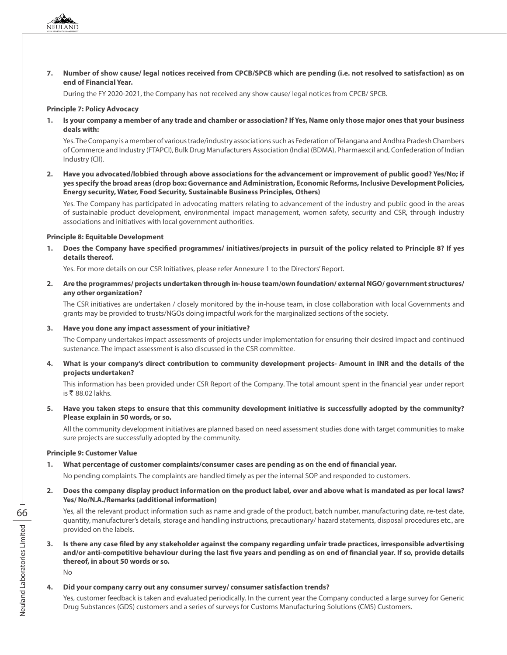During the FY 2020-2021, the Company has not received any show cause/ legal notices from CPCB/ SPCB.

#### **Principle 7: Policy Advocacy**

**1. Is your company a member of any trade and chamber or association? If Yes, Name only those major ones that your business deals with:**

Yes. The Company is a member of various trade/industry associations such as Federation of Telangana and Andhra Pradesh Chambers of Commerce and Industry (FTAPCI), Bulk Drug Manufacturers Association (India) (BDMA), Pharmaexcil and, Confederation of Indian Industry (CII).

**2. Have you advocated/lobbied through above associations for the advancement or improvement of public good? Yes/No; if yes specify the broad areas (drop box: Governance and Administration, Economic Reforms, Inclusive Development Policies, Energy security, Water, Food Security, Sustainable Business Principles, Others)**

Yes. The Company has participated in advocating matters relating to advancement of the industry and public good in the areas of sustainable product development, environmental impact management, women safety, security and CSR, through industry associations and initiatives with local government authorities.

#### **Principle 8: Equitable Development**

**1. Does the Company have specified programmes/ initiatives/projects in pursuit of the policy related to Principle 8? If yes details thereof.**

Yes. For more details on our CSR Initiatives, please refer Annexure 1 to the Directors' Report.

**2. Are the programmes/ projects undertaken through in-house team/own foundation/ external NGO/ government structures/ any other organization?**

The CSR initiatives are undertaken / closely monitored by the in-house team, in close collaboration with local Governments and grants may be provided to trusts/NGOs doing impactful work for the marginalized sections of the society.

#### **3. Have you done any impact assessment of your initiative?**

The Company undertakes impact assessments of projects under implementation for ensuring their desired impact and continued sustenance. The impact assessment is also discussed in the CSR committee.

**4. What is your company's direct contribution to community development projects- Amount in INR and the details of the projects undertaken?**

This information has been provided under CSR Report of the Company. The total amount spent in the financial year under report is  $\overline{\xi}$  88.02 lakhs.

**5. Have you taken steps to ensure that this community development initiative is successfully adopted by the community? Please explain in 50 words, or so.**

All the community development initiatives are planned based on need assessment studies done with target communities to make sure projects are successfully adopted by the community.

#### **Principle 9: Customer Value**

**1. What percentage of customer complaints/consumer cases are pending as on the end of financial year.**

No pending complaints. The complaints are handled timely as per the internal SOP and responded to customers.

**2. Does the company display product information on the product label, over and above what is mandated as per local laws? Yes/ No/N.A./Remarks (additional information)**

Yes, all the relevant product information such as name and grade of the product, batch number, manufacturing date, re-test date, quantity, manufacturer's details, storage and handling instructions, precautionary/ hazard statements, disposal procedures etc., are provided on the labels.

**3. Is there any case filed by any stakeholder against the company regarding unfair trade practices, irresponsible advertising and/or anti-competitive behaviour during the last five years and pending as on end of financial year. If so, provide details thereof, in about 50 words or so.**

No

#### **4. Did your company carry out any consumer survey/ consumer satisfaction trends?**

Yes, customer feedback is taken and evaluated periodically. In the current year the Company conducted a large survey for Generic Drug Substances (GDS) customers and a series of surveys for Customs Manufacturing Solutions (CMS) Customers.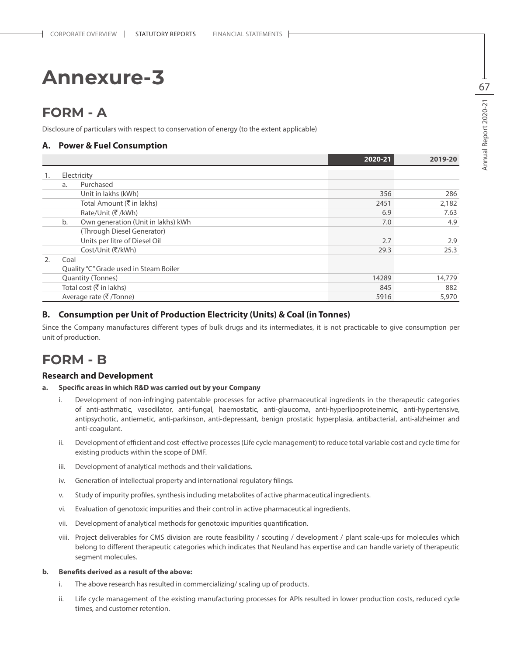### **FORM - A**

Disclosure of particulars with respect to conservation of energy (to the extent applicable)

#### **A. Power & Fuel Consumption**

|    |      |                                        | 2020-21 | 2019-20 |
|----|------|----------------------------------------|---------|---------|
| 1. |      | Electricity                            |         |         |
|    | a.   | Purchased                              |         |         |
|    |      | Unit in lakhs (kWh)                    | 356     | 286     |
|    |      | Total Amount (₹ in lakhs)              | 2451    | 2,182   |
|    |      | Rate/Unit (₹/kWh)                      | 6.9     | 7.63    |
|    | b.   | Own generation (Unit in lakhs) kWh     | 7.0     | 4.9     |
|    |      | (Through Diesel Generator)             |         |         |
|    |      | Units per litre of Diesel Oil          | 2.7     | 2.9     |
|    |      | Cost/Unit (₹/kWh)                      | 29.3    | 25.3    |
| 2. | Coal |                                        |         |         |
|    |      | Quality "C" Grade used in Steam Boiler |         |         |
|    |      | Quantity (Tonnes)                      | 14289   | 14,779  |
|    |      | Total cost (₹ in lakhs)                | 845     | 882     |
|    |      | Average rate (₹/Tonne)                 | 5916    | 5,970   |

#### **B. Consumption per Unit of Production Electricity (Units) & Coal (in Tonnes)**

Since the Company manufactures different types of bulk drugs and its intermediates, it is not practicable to give consumption per unit of production.

### **FORM - B**

#### **Research and Development**

#### **a. Specific areas in which R&D was carried out by your Company**

- i. Development of non-infringing patentable processes for active pharmaceutical ingredients in the therapeutic categories of anti-asthmatic, vasodilator, anti-fungal, haemostatic, anti-glaucoma, anti-hyperlipoproteinemic, anti-hypertensive, antipsychotic, antiemetic, anti-parkinson, anti-depressant, benign prostatic hyperplasia, antibacterial, anti-alzheimer and anti-coagulant.
- ii. Development of efficient and cost-effective processes (Life cycle management) to reduce total variable cost and cycle time for existing products within the scope of DMF.
- iii. Development of analytical methods and their validations.
- iv. Generation of intellectual property and international regulatory filings.
- v. Study of impurity profiles, synthesis including metabolites of active pharmaceutical ingredients.
- vi. Evaluation of genotoxic impurities and their control in active pharmaceutical ingredients.
- vii. Development of analytical methods for genotoxic impurities quantification.
- viii. Project deliverables for CMS division are route feasibility / scouting / development / plant scale-ups for molecules which belong to different therapeutic categories which indicates that Neuland has expertise and can handle variety of therapeutic segment molecules.

#### **b. Benefits derived as a result of the above:**

- i. The above research has resulted in commercializing/ scaling up of products.
- ii. Life cycle management of the existing manufacturing processes for APIs resulted in lower production costs, reduced cycle times, and customer retention.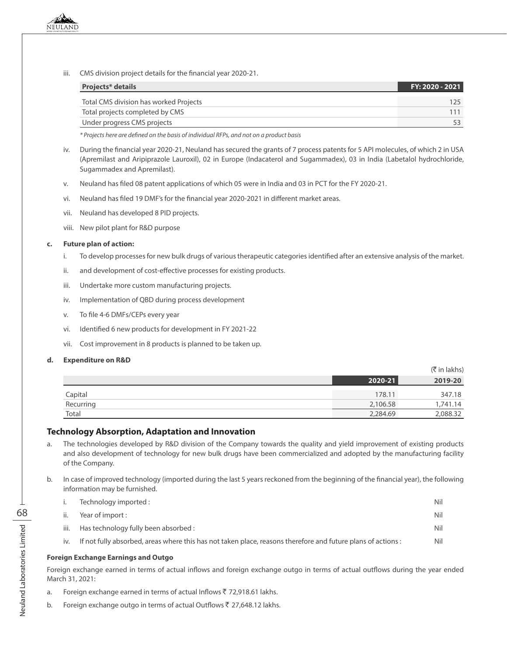iii. CMS division project details for the financial year 2020-21.

| <b>Projects* details</b>               | FY: 2020 - 2021 |
|----------------------------------------|-----------------|
| Total CMS division has worked Projects |                 |
| Total projects completed by CMS        |                 |
| Under progress CMS projects            |                 |

 *\* Projects here are defined on the basis of individual RFPs, and not on a product basis*

- iv. During the financial year 2020-21, Neuland has secured the grants of 7 process patents for 5 API molecules, of which 2 in USA (Apremilast and Aripiprazole Lauroxil), 02 in Europe (Indacaterol and Sugammadex), 03 in India (Labetalol hydrochloride, Sugammadex and Apremilast).
- v. Neuland has filed 08 patent applications of which 05 were in India and 03 in PCT for the FY 2020-21.
- vi. Neuland has filed 19 DMF's for the financial year 2020-2021 in different market areas.
- vii. Neuland has developed 8 PID projects.
- viii. New pilot plant for R&D purpose

#### **c. Future plan of action:**

- i. To develop processes for new bulk drugs of various therapeutic categories identified after an extensive analysis of the market.
- ii. and development of cost-effective processes for existing products.
- iii. Undertake more custom manufacturing projects.
- iv. Implementation of QBD during process development
- v. To file 4-6 DMFs/CEPs every year
- vi. Identified 6 new products for development in FY 2021-22
- vii. Cost improvement in 8 products is planned to be taken up.

#### **d. Expenditure on R&D**

|           |             | (K in lakns) |
|-----------|-------------|--------------|
|           | $2020 - 21$ | 2019-20      |
| Capital   | 178.11      | 347.18       |
| Recurring | 2,106.58    | 1,741.14     |
| Total     | 2,284.69    | 2,088.32     |

 $(\pm 1.1.1)$ 

#### **Technology Absorption, Adaptation and Innovation**

- a. The technologies developed by R&D division of the Company towards the quality and yield improvement of existing products and also development of technology for new bulk drugs have been commercialized and adopted by the manufacturing facility of the Company.
- b. In case of improved technology (imported during the last 5 years reckoned from the beginning of the financial year), the following information may be furnished.

|      | Technology imported:                                                                                         | Nil |
|------|--------------------------------------------------------------------------------------------------------------|-----|
| ii.  | Year of import :                                                                                             | Nil |
| iii. | Has technology fully been absorbed :                                                                         | Nil |
| iv.  | If not fully absorbed, areas where this has not taken place, reasons therefore and future plans of actions : | Nil |
|      |                                                                                                              |     |

#### **Foreign Exchange Earnings and Outgo**

Foreign exchange earned in terms of actual inflows and foreign exchange outgo in terms of actual outflows during the year ended March 31, 2021:

- a. Foreign exchange earned in terms of actual Inflows ₹ 72,918.61 lakhs.
- b. Foreign exchange outgo in terms of actual Outflows ₹ 27,648.12 lakhs.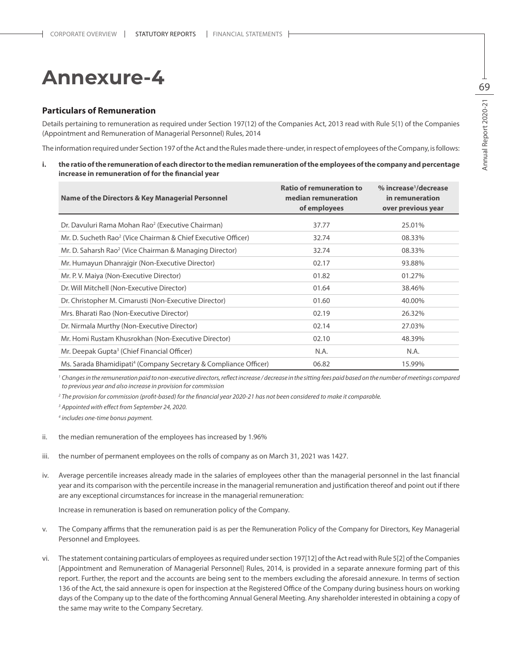#### **Particulars of Remuneration**

Details pertaining to remuneration as required under Section 197(12) of the Companies Act, 2013 read with Rule 5(1) of the Companies (Appointment and Remuneration of Managerial Personnel) Rules, 2014

The information required under Section 197 of the Act and the Rules made there-under, in respect of employees of the Company, is follows:

**i. the ratio of the remuneration of each director to the median remuneration of the employees of the company and percentage increase in remuneration of for the financial year**

| Name of the Directors & Key Managerial Personnel                             | <b>Ratio of remuneration to</b><br>median remuneration<br>of employees | % increase <sup>1</sup> /decrease<br>in remuneration<br>over previous year |
|------------------------------------------------------------------------------|------------------------------------------------------------------------|----------------------------------------------------------------------------|
| Dr. Davuluri Rama Mohan Rao <sup>2</sup> (Executive Chairman)                | 37.77                                                                  | 25.01%                                                                     |
| Mr. D. Sucheth Rao <sup>2</sup> (Vice Chairman & Chief Executive Officer)    | 32.74                                                                  | 08.33%                                                                     |
| Mr. D. Saharsh Rao <sup>2</sup> (Vice Chairman & Managing Director)          | 32.74                                                                  | 08.33%                                                                     |
| Mr. Humayun Dhanrajgir (Non-Executive Director)                              | 02.17                                                                  | 93.88%                                                                     |
| Mr. P. V. Maiya (Non-Executive Director)                                     | 01.82                                                                  | 01.27%                                                                     |
| Dr. Will Mitchell (Non-Executive Director)                                   | 01.64                                                                  | 38.46%                                                                     |
| Dr. Christopher M. Cimarusti (Non-Executive Director)                        | 01.60                                                                  | 40.00%                                                                     |
| Mrs. Bharati Rao (Non-Executive Director)                                    | 02.19                                                                  | 26.32%                                                                     |
| Dr. Nirmala Murthy (Non-Executive Director)                                  | 02.14                                                                  | 27.03%                                                                     |
| Mr. Homi Rustam Khusrokhan (Non-Executive Director)                          | 02.10                                                                  | 48.39%                                                                     |
| Mr. Deepak Gupta <sup>3</sup> (Chief Financial Officer)                      | N.A.                                                                   | N.A.                                                                       |
| Ms. Sarada Bhamidipati <sup>4</sup> (Company Secretary & Compliance Officer) | 06.82                                                                  | 15.99%                                                                     |

<sup>1</sup> Changes in the remuneration paid to non-executive directors, reflect increase / decrease in the sitting fees paid based on the number of meetings compared *to previous year and also increase in provision for commission*

*2 The provision for commission (profit-based) for the financial year 2020-21 has not been considered to make it comparable.*

*3 Appointed with effect from September 24, 2020.*

*4 includes one-time bonus payment.*

- ii. the median remuneration of the employees has increased by 1.96%
- iii. the number of permanent employees on the rolls of company as on March 31, 2021 was 1427.
- iv. Average percentile increases already made in the salaries of employees other than the managerial personnel in the last financial year and its comparison with the percentile increase in the managerial remuneration and justification thereof and point out if there are any exceptional circumstances for increase in the managerial remuneration:

Increase in remuneration is based on remuneration policy of the Company.

- v. The Company affirms that the remuneration paid is as per the Remuneration Policy of the Company for Directors, Key Managerial Personnel and Employees.
- vi. The statement containing particulars of employees as required under section 197[12] of the Act read with Rule 5[2] of the Companies [Appointment and Remuneration of Managerial Personnel] Rules, 2014, is provided in a separate annexure forming part of this report. Further, the report and the accounts are being sent to the members excluding the aforesaid annexure. In terms of section 136 of the Act, the said annexure is open for inspection at the Registered Office of the Company during business hours on working days of the Company up to the date of the forthcoming Annual General Meeting. Any shareholder interested in obtaining a copy of the same may write to the Company Secretary.